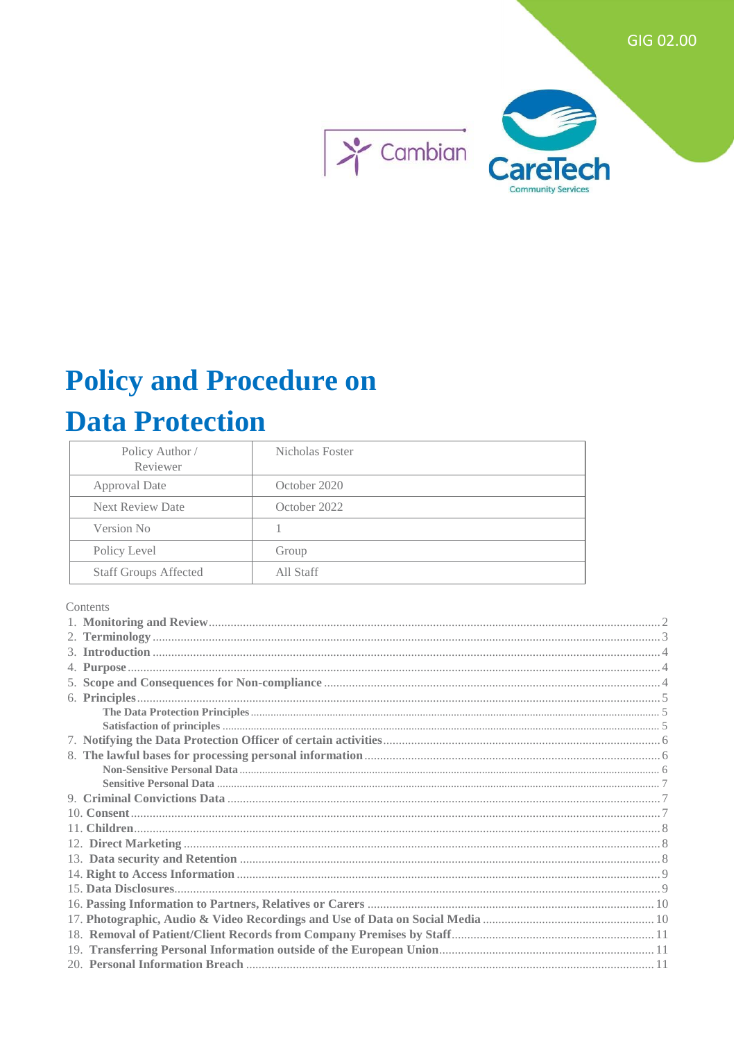

# **Policy and Procedure on**

## **Data Protection**

| Policy Author /<br>Reviewer  | Nicholas Foster |
|------------------------------|-----------------|
| <b>Approval Date</b>         | October 2020    |
| <b>Next Review Date</b>      | October 2022    |
| Version No                   |                 |
| Policy Level                 | Group           |
| <b>Staff Groups Affected</b> | All Staff       |

#### Contents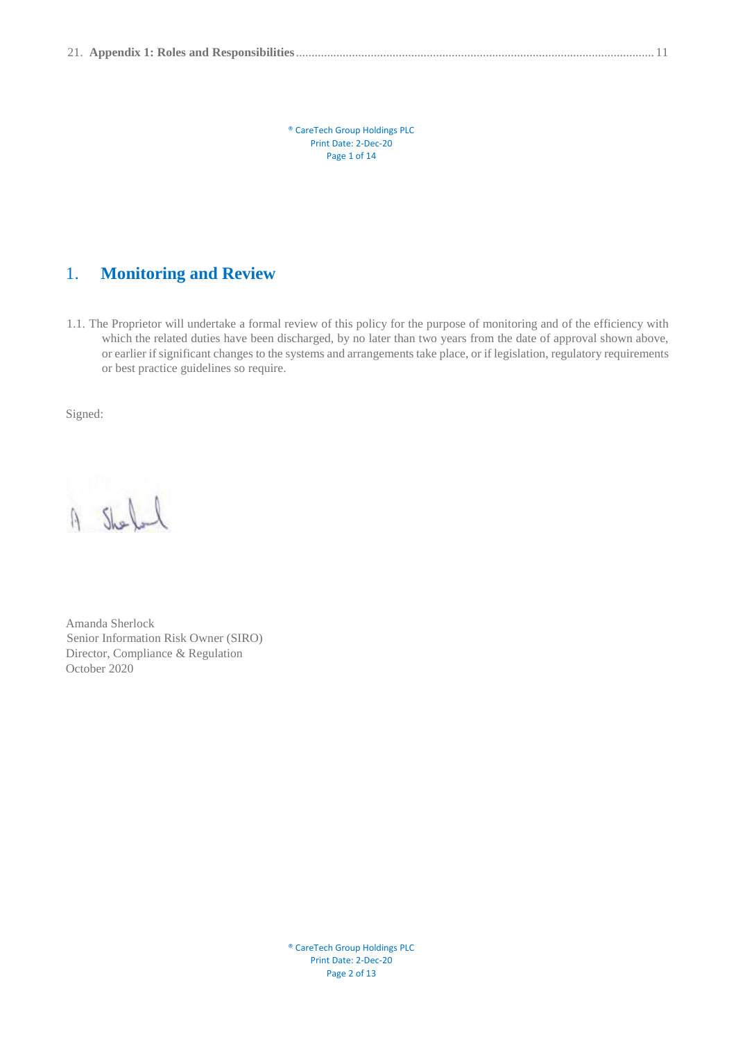® CareTech Group Holdings PLC Print Date: 2-Dec-20 Page 1 of 14

## <span id="page-1-0"></span>1. **Monitoring and Review**

1.1. The Proprietor will undertake a formal review of this policy for the purpose of monitoring and of the efficiency with which the related duties have been discharged, by no later than two years from the date of approval shown above, or earlier if significant changes to the systems and arrangements take place, or if legislation, regulatory requirements or best practice guidelines so require.

Signed:

A Shell

Amanda Sherlock Senior Information Risk Owner (SIRO) Director, Compliance & Regulation October 2020

> ® CareTech Group Holdings PLC Print Date: 2-Dec-20 Page 2 of 13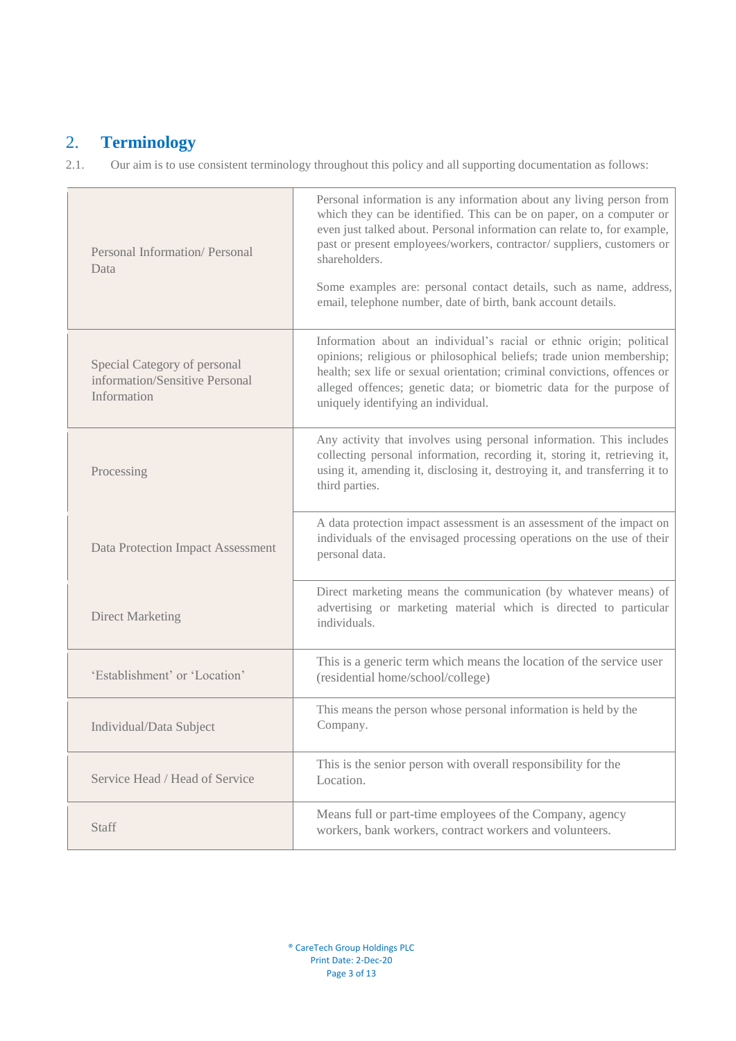## <span id="page-2-0"></span>2. **Terminology**

2.1.Our aim is to use consistent terminology throughout this policy and all supporting documentation as follows:

| Personal Information/Personal<br>Data                                         | Personal information is any information about any living person from<br>which they can be identified. This can be on paper, on a computer or<br>even just talked about. Personal information can relate to, for example,<br>past or present employees/workers, contractor/ suppliers, customers or<br>shareholders.<br>Some examples are: personal contact details, such as name, address,<br>email, telephone number, date of birth, bank account details. |
|-------------------------------------------------------------------------------|-------------------------------------------------------------------------------------------------------------------------------------------------------------------------------------------------------------------------------------------------------------------------------------------------------------------------------------------------------------------------------------------------------------------------------------------------------------|
| Special Category of personal<br>information/Sensitive Personal<br>Information | Information about an individual's racial or ethnic origin; political<br>opinions; religious or philosophical beliefs; trade union membership;<br>health; sex life or sexual orientation; criminal convictions, offences or<br>alleged offences; genetic data; or biometric data for the purpose of<br>uniquely identifying an individual.                                                                                                                   |
| Processing                                                                    | Any activity that involves using personal information. This includes<br>collecting personal information, recording it, storing it, retrieving it,<br>using it, amending it, disclosing it, destroying it, and transferring it to<br>third parties.                                                                                                                                                                                                          |
| Data Protection Impact Assessment                                             | A data protection impact assessment is an assessment of the impact on<br>individuals of the envisaged processing operations on the use of their<br>personal data.                                                                                                                                                                                                                                                                                           |
| <b>Direct Marketing</b>                                                       | Direct marketing means the communication (by whatever means) of<br>advertising or marketing material which is directed to particular<br>individuals.                                                                                                                                                                                                                                                                                                        |
| 'Establishment' or 'Location'                                                 | This is a generic term which means the location of the service user<br>(residential home/school/college)                                                                                                                                                                                                                                                                                                                                                    |
| Individual/Data Subject                                                       | This means the person whose personal information is held by the<br>Company.                                                                                                                                                                                                                                                                                                                                                                                 |
| Service Head / Head of Service                                                | This is the senior person with overall responsibility for the<br>Location.                                                                                                                                                                                                                                                                                                                                                                                  |
| Staff                                                                         | Means full or part-time employees of the Company, agency<br>workers, bank workers, contract workers and volunteers.                                                                                                                                                                                                                                                                                                                                         |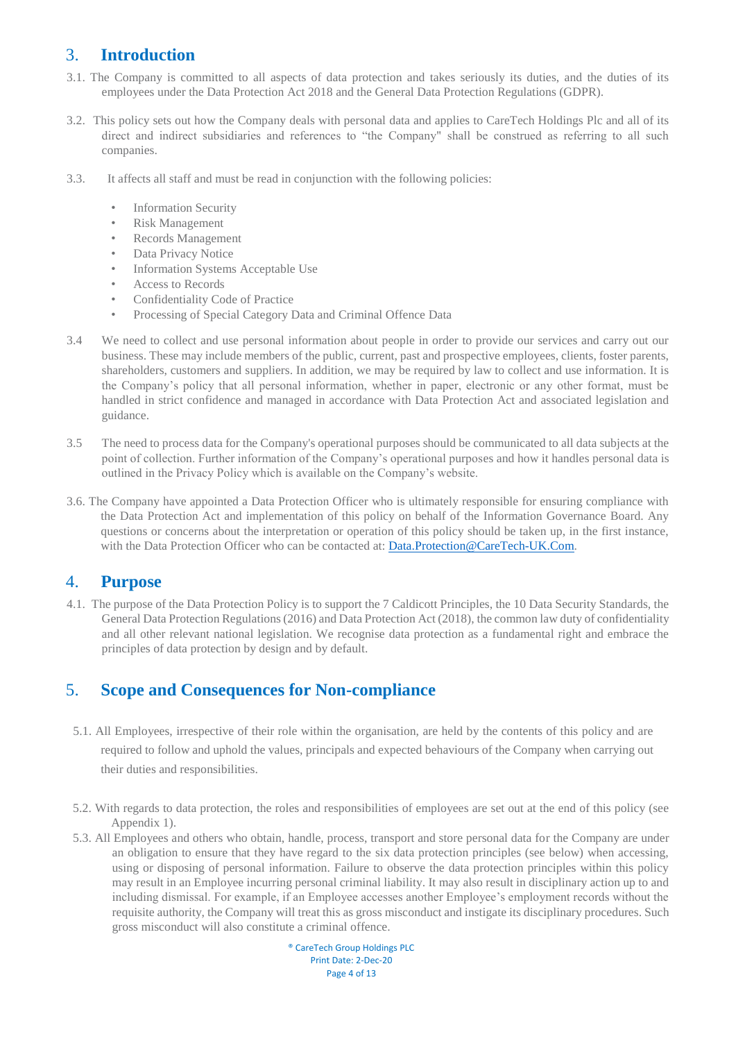## <span id="page-3-0"></span>3. **Introduction**

- 3.1. The Company is committed to all aspects of data protection and takes seriously its duties, and the duties of its employees under the Data Protection Act 2018 and the General Data Protection Regulations (GDPR).
- 3.2.This policy sets out how the Company deals with personal data and applies to CareTech Holdings Plc and all of its direct and indirect subsidiaries and references to "the Company" shall be construed as referring to all such companies.
- 3.3. It affects all staff and must be read in conjunction with the following policies:
	- **Information Security**
	- Risk Management
	- Records Management
	- Data Privacy Notice
	- Information Systems Acceptable Use
	- Access to Records
	- Confidentiality Code of Practice
	- Processing of Special Category Data and Criminal Offence Data
- 3.4 We need to collect and use personal information about people in order to provide our services and carry out our business. These may include members of the public, current, past and prospective employees, clients, foster parents, shareholders, customers and suppliers. In addition, we may be required by law to collect and use information. It is the Company's policy that all personal information, whether in paper, electronic or any other format, must be handled in strict confidence and managed in accordance with Data Protection Act and associated legislation and guidance.
- 3.5 The need to process data for the Company's operational purposes should be communicated to all data subjects at the point of collection. Further information of the Company's operational purposes and how it handles personal data is outlined in the Privacy Policy which is available on the Company's website.
- 3.6. The Company have appointed a Data Protection Officer who is ultimately responsible for ensuring compliance with the Data Protection Act and implementation of this policy on behalf of the Information Governance Board. Any questions or concerns about the interpretation or operation of this policy should be taken up, in the first instance, with the Data Protection Officer who can be contacted at: Data.Protection@CareTech-UK.Com.

#### <span id="page-3-1"></span>4. **Purpose**

4.1. The purpose of the Data Protection Policy is to support the 7 Caldicott Principles, the 10 Data Security Standards, the General Data Protection Regulations (2016) and Data Protection Act (2018), the common law duty of confidentiality and all other relevant national legislation. We recognise data protection as a fundamental right and embrace the principles of data protection by design and by default.

## <span id="page-3-2"></span>5. **Scope and Consequences for Non-compliance**

- 5.1. All Employees, irrespective of their role within the organisation, are held by the contents of this policy and are required to follow and uphold the values, principals and expected behaviours of the Company when carrying out their duties and responsibilities.
- 5.2. With regards to data protection, the roles and responsibilities of employees are set out at the end of this policy (see Appendix 1).
- 5.3. All Employees and others who obtain, handle, process, transport and store personal data for the Company are under an obligation to ensure that they have regard to the six data protection principles (see below) when accessing, using or disposing of personal information. Failure to observe the data protection principles within this policy may result in an Employee incurring personal criminal liability. It may also result in disciplinary action up to and including dismissal. For example, if an Employee accesses another Employee's employment records without the requisite authority, the Company will treat this as gross misconduct and instigate its disciplinary procedures. Such gross misconduct will also constitute a criminal offence.

® CareTech Group Holdings PLC Print Date: 2-Dec-20 Page 4 of 13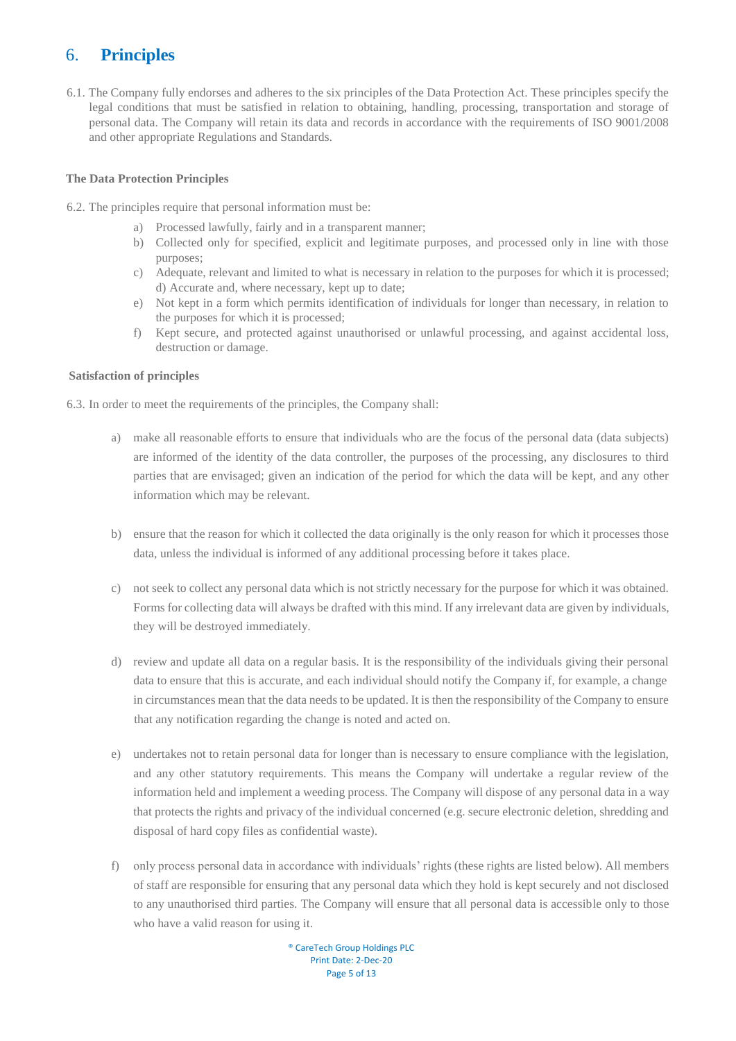## <span id="page-4-0"></span>6. **Principles**

6.1. The Company fully endorses and adheres to the six principles of the Data Protection Act. These principles specify the legal conditions that must be satisfied in relation to obtaining, handling, processing, transportation and storage of personal data. The Company will retain its data and records in accordance with the requirements of ISO 9001/2008 and other appropriate Regulations and Standards.

#### <span id="page-4-1"></span>**The Data Protection Principles**

- 6.2. The principles require that personal information must be:
	- a) Processed lawfully, fairly and in a transparent manner;
	- b) Collected only for specified, explicit and legitimate purposes, and processed only in line with those purposes;
	- c) Adequate, relevant and limited to what is necessary in relation to the purposes for which it is processed; d) Accurate and, where necessary, kept up to date;
	- e) Not kept in a form which permits identification of individuals for longer than necessary, in relation to the purposes for which it is processed;
	- f) Kept secure, and protected against unauthorised or unlawful processing, and against accidental loss, destruction or damage.

#### <span id="page-4-2"></span>**Satisfaction of principles**

6.3. In order to meet the requirements of the principles, the Company shall:

- a) make all reasonable efforts to ensure that individuals who are the focus of the personal data (data subjects) are informed of the identity of the data controller, the purposes of the processing, any disclosures to third parties that are envisaged; given an indication of the period for which the data will be kept, and any other information which may be relevant.
- b) ensure that the reason for which it collected the data originally is the only reason for which it processes those data, unless the individual is informed of any additional processing before it takes place.
- c) not seek to collect any personal data which is not strictly necessary for the purpose for which it was obtained. Forms for collecting data will always be drafted with this mind. If any irrelevant data are given by individuals, they will be destroyed immediately.
- d) review and update all data on a regular basis. It is the responsibility of the individuals giving their personal data to ensure that this is accurate, and each individual should notify the Company if, for example, a change in circumstances mean that the data needs to be updated. It is then the responsibility of the Company to ensure that any notification regarding the change is noted and acted on.
- e) undertakes not to retain personal data for longer than is necessary to ensure compliance with the legislation, and any other statutory requirements. This means the Company will undertake a regular review of the information held and implement a weeding process. The Company will dispose of any personal data in a way that protects the rights and privacy of the individual concerned (e.g. secure electronic deletion, shredding and disposal of hard copy files as confidential waste).
- f) only process personal data in accordance with individuals' rights (these rights are listed below). All members of staff are responsible for ensuring that any personal data which they hold is kept securely and not disclosed to any unauthorised third parties. The Company will ensure that all personal data is accessible only to those who have a valid reason for using it.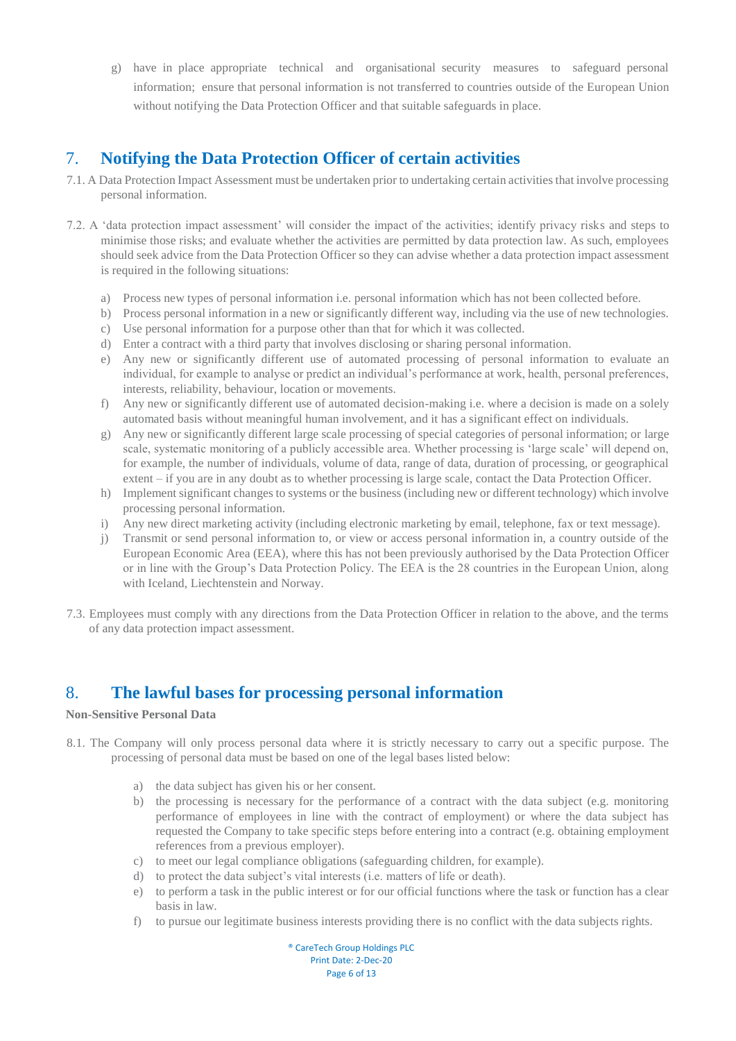g) have in place appropriate technical and organisational security measures to safeguard personal information; ensure that personal information is not transferred to countries outside of the European Union without notifying the Data Protection Officer and that suitable safeguards in place.

## <span id="page-5-0"></span>7. **Notifying the Data Protection Officer of certain activities**

- 7.1. A Data Protection Impact Assessment must be undertaken prior to undertaking certain activities that involve processing personal information.
- 7.2. A 'data protection impact assessment' will consider the impact of the activities; identify privacy risks and steps to minimise those risks; and evaluate whether the activities are permitted by data protection law. As such, employees should seek advice from the Data Protection Officer so they can advise whether a data protection impact assessment is required in the following situations:
	- a) Process new types of personal information i.e. personal information which has not been collected before.
	- b) Process personal information in a new or significantly different way, including via the use of new technologies.
	- c) Use personal information for a purpose other than that for which it was collected.
	- d) Enter a contract with a third party that involves disclosing or sharing personal information.
	- e) Any new or significantly different use of automated processing of personal information to evaluate an individual, for example to analyse or predict an individual's performance at work, health, personal preferences, interests, reliability, behaviour, location or movements.
	- f) Any new or significantly different use of automated decision-making i.e. where a decision is made on a solely automated basis without meaningful human involvement, and it has a significant effect on individuals.
	- g) Any new or significantly different large scale processing of special categories of personal information; or large scale, systematic monitoring of a publicly accessible area. Whether processing is 'large scale' will depend on, for example, the number of individuals, volume of data, range of data, duration of processing, or geographical extent – if you are in any doubt as to whether processing is large scale, contact the Data Protection Officer.
	- h) Implement significant changes to systems or the business (including new or different technology) which involve processing personal information.
	- i) Any new direct marketing activity (including electronic marketing by email, telephone, fax or text message).
	- j) Transmit or send personal information to, or view or access personal information in, a country outside of the European Economic Area (EEA), where this has not been previously authorised by the Data Protection Officer or in line with the Group's Data Protection Policy. The EEA is the 28 countries in the European Union, along with Iceland, Liechtenstein and Norway.
- 7.3. Employees must comply with any directions from the Data Protection Officer in relation to the above, and the terms of any data protection impact assessment.

## <span id="page-5-1"></span>8. **The lawful bases for processing personal information**

#### <span id="page-5-2"></span>**Non-Sensitive Personal Data**

- 8.1. The Company will only process personal data where it is strictly necessary to carry out a specific purpose. The processing of personal data must be based on one of the legal bases listed below:
	- a) the data subject has given his or her consent.
	- b) the processing is necessary for the performance of a contract with the data subject (e.g. monitoring performance of employees in line with the contract of employment) or where the data subject has requested the Company to take specific steps before entering into a contract (e.g. obtaining employment references from a previous employer).
	- c) to meet our legal compliance obligations (safeguarding children, for example).
	- d) to protect the data subject's vital interests (i.e. matters of life or death).
	- e) to perform a task in the public interest or for our official functions where the task or function has a clear basis in law.
	- f) to pursue our legitimate business interests providing there is no conflict with the data subjects rights.

® CareTech Group Holdings PLC Print Date: 2-Dec-20 Page 6 of 13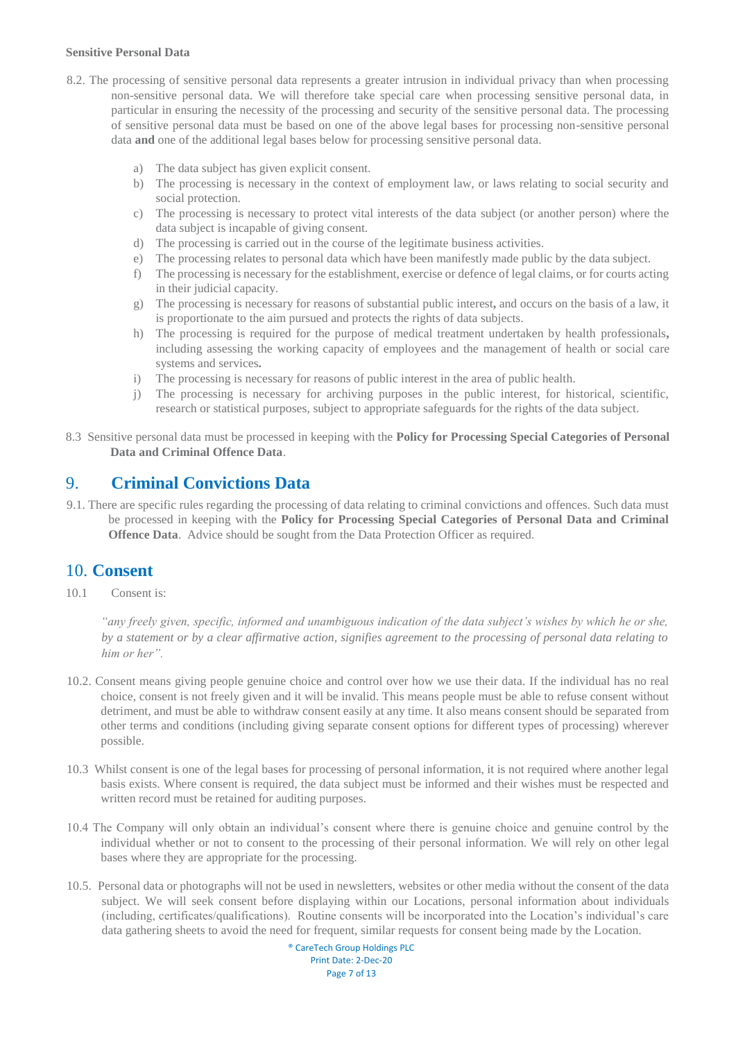#### <span id="page-6-0"></span>**Sensitive Personal Data**

- 8.2. The processing of sensitive personal data represents a greater intrusion in individual privacy than when processing non-sensitive personal data. We will therefore take special care when processing sensitive personal data, in particular in ensuring the necessity of the processing and security of the sensitive personal data. The processing of sensitive personal data must be based on one of the above legal bases for processing non-sensitive personal data **and** one of the additional legal bases below for processing sensitive personal data.
	- a) The data subject has given explicit consent.
	- b) The processing is necessary in the context of employment law, or laws relating to social security and social protection.
	- c) The processing is necessary to protect vital interests of the data subject (or another person) where the data subject is incapable of giving consent.
	- d) The processing is carried out in the course of the legitimate business activities.
	- e) The processing relates to personal data which have been manifestly made public by the data subject.
	- f) The processing is necessary for the establishment, exercise or defence of legal claims, or for courts acting in their judicial capacity.
	- g) The processing is necessary for reasons of substantial public interest**,** and occurs on the basis of a law, it is proportionate to the aim pursued and protects the rights of data subjects.
	- h) The processing is required for the purpose of medical treatment undertaken by health professionals**,**  including assessing the working capacity of employees and the management of health or social care systems and services**.**
	- i) The processing is necessary for reasons of public interest in the area of public health.
	- j) The processing is necessary for archiving purposes in the public interest, for historical, scientific, research or statistical purposes, subject to appropriate safeguards for the rights of the data subject.
- 8.3 Sensitive personal data must be processed in keeping with the **Policy for Processing Special Categories of Personal Data and Criminal Offence Data**.

#### <span id="page-6-1"></span>9. **Criminal Convictions Data**

9.1. There are specific rules regarding the processing of data relating to criminal convictions and offences. Such data must be processed in keeping with the **Policy for Processing Special Categories of Personal Data and Criminal Offence Data**. Advice should be sought from the Data Protection Officer as required.

#### <span id="page-6-2"></span>10. **Consent**

10.1 Consent is:

*"any freely given, specific, informed and unambiguous indication of the data subject's wishes by which he or she, by a statement or by a clear affirmative action, signifies agreement to the processing of personal data relating to him or her".* 

- 10.2. Consent means giving people genuine choice and control over how we use their data. If the individual has no real choice, consent is not freely given and it will be invalid. This means people must be able to refuse consent without detriment, and must be able to withdraw consent easily at any time. It also means consent should be separated from other terms and conditions (including giving separate consent options for different types of processing) wherever possible.
- 10.3 Whilst consent is one of the legal bases for processing of personal information, it is not required where another legal basis exists. Where consent is required, the data subject must be informed and their wishes must be respected and written record must be retained for auditing purposes.
- 10.4 The Company will only obtain an individual's consent where there is genuine choice and genuine control by the individual whether or not to consent to the processing of their personal information. We will rely on other legal bases where they are appropriate for the processing.
- 10.5.Personal data or photographs will not be used in newsletters, websites or other media without the consent of the data subject. We will seek consent before displaying within our Locations, personal information about individuals (including, certificates/qualifications). Routine consents will be incorporated into the Location's individual's care data gathering sheets to avoid the need for frequent, similar requests for consent being made by the Location.

® CareTech Group Holdings PLC Print Date: 2-Dec-20 Page 7 of 13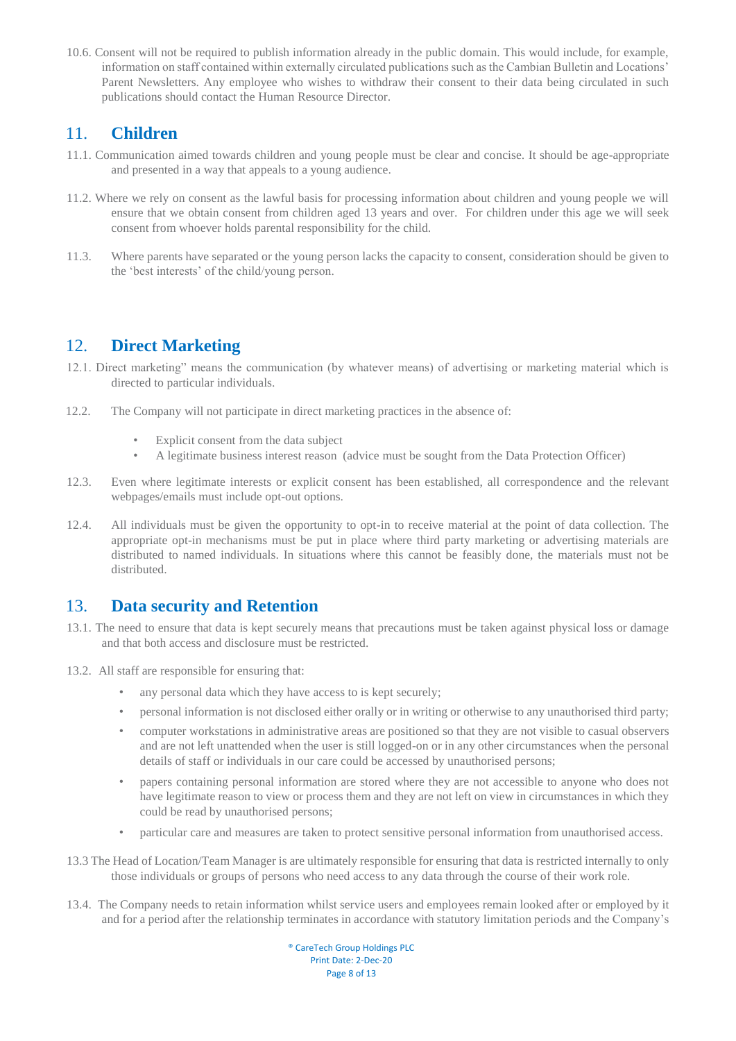10.6. Consent will not be required to publish information already in the public domain. This would include, for example, information on staff contained within externally circulated publications such as the Cambian Bulletin and Locations' Parent Newsletters. Any employee who wishes to withdraw their consent to their data being circulated in such publications should contact the Human Resource Director.

#### <span id="page-7-0"></span>11. **Children**

- 11.1. Communication aimed towards children and young people must be clear and concise. It should be age-appropriate and presented in a way that appeals to a young audience.
- 11.2. Where we rely on consent as the lawful basis for processing information about children and young people we will ensure that we obtain consent from children aged 13 years and over. For children under this age we will seek consent from whoever holds parental responsibility for the child.
- 11.3. Where parents have separated or the young person lacks the capacity to consent, consideration should be given to the 'best interests' of the child/young person.

### <span id="page-7-1"></span>12. **Direct Marketing**

- 12.1. Direct marketing" means the communication (by whatever means) of advertising or marketing material which is directed to particular individuals.
- 12.2. The Company will not participate in direct marketing practices in the absence of:
	- Explicit consent from the data subject
	- A legitimate business interest reason (advice must be sought from the Data Protection Officer)
- 12.3. Even where legitimate interests or explicit consent has been established, all correspondence and the relevant webpages/emails must include opt-out options.
- 12.4. All individuals must be given the opportunity to opt-in to receive material at the point of data collection. The appropriate opt-in mechanisms must be put in place where third party marketing or advertising materials are distributed to named individuals. In situations where this cannot be feasibly done, the materials must not be distributed.

#### <span id="page-7-2"></span>13. **Data security and Retention**

- 13.1. The need to ensure that data is kept securely means that precautions must be taken against physical loss or damage and that both access and disclosure must be restricted.
- 13.2.All staff are responsible for ensuring that:
	- any personal data which they have access to is kept securely;
	- personal information is not disclosed either orally or in writing or otherwise to any unauthorised third party;
	- computer workstations in administrative areas are positioned so that they are not visible to casual observers and are not left unattended when the user is still logged-on or in any other circumstances when the personal details of staff or individuals in our care could be accessed by unauthorised persons;
	- papers containing personal information are stored where they are not accessible to anyone who does not have legitimate reason to view or process them and they are not left on view in circumstances in which they could be read by unauthorised persons;
	- particular care and measures are taken to protect sensitive personal information from unauthorised access.
- 13.3 The Head of Location/Team Manager is are ultimately responsible for ensuring that data is restricted internally to only those individuals or groups of persons who need access to any data through the course of their work role.
- 13.4.The Company needs to retain information whilst service users and employees remain looked after or employed by it and for a period after the relationship terminates in accordance with statutory limitation periods and the Company's

® CareTech Group Holdings PLC Print Date: 2-Dec-20 Page 8 of 13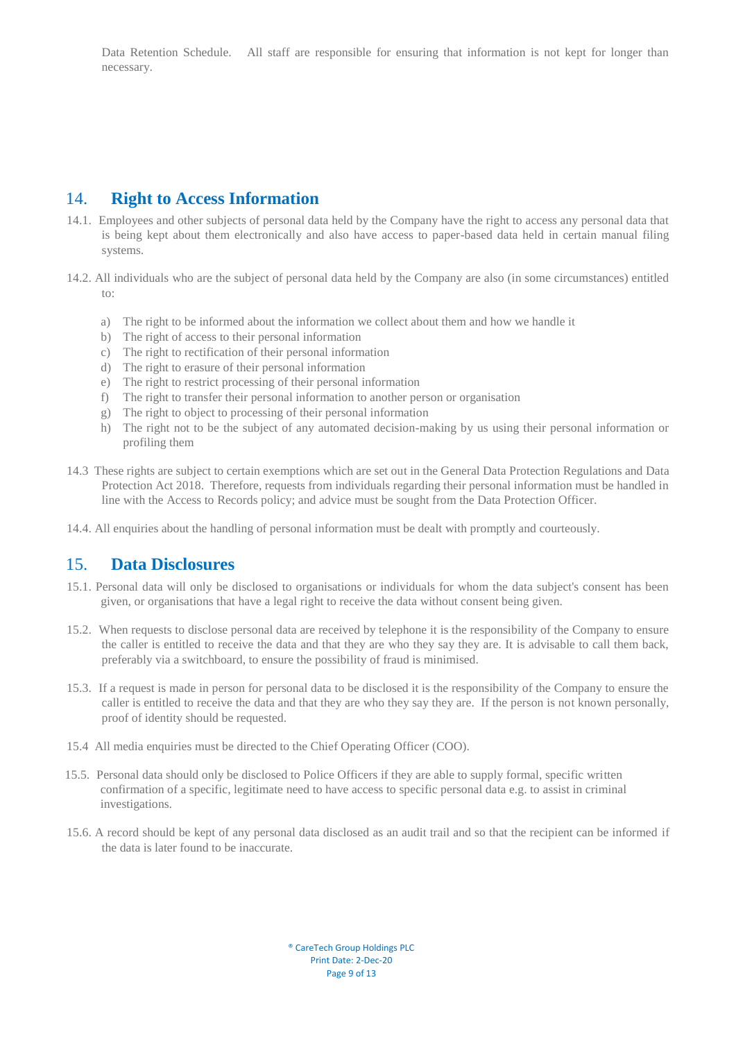Data Retention Schedule. All staff are responsible for ensuring that information is not kept for longer than necessary.

#### <span id="page-8-0"></span>14. **Right to Access Information**

- 14.1.Employees and other subjects of personal data held by the Company have the right to access any personal data that is being kept about them electronically and also have access to paper-based data held in certain manual filing systems.
- 14.2. All individuals who are the subject of personal data held by the Company are also (in some circumstances) entitled to:
	- a) The right to be informed about the information we collect about them and how we handle it
	- b) The right of access to their personal information
	- c) The right to rectification of their personal information
	- d) The right to erasure of their personal information
	- e) The right to restrict processing of their personal information
	- f) The right to transfer their personal information to another person or organisation
	- g) The right to object to processing of their personal information
	- h) The right not to be the subject of any automated decision-making by us using their personal information or profiling them
- 14.3 These rights are subject to certain exemptions which are set out in the General Data Protection Regulations and Data Protection Act 2018. Therefore, requests from individuals regarding their personal information must be handled in line with the Access to Records policy; and advice must be sought from the Data Protection Officer.
- 14.4. All enquiries about the handling of personal information must be dealt with promptly and courteously.

#### <span id="page-8-1"></span>15. **Data Disclosures**

- 15.1. Personal data will only be disclosed to organisations or individuals for whom the data subject's consent has been given, or organisations that have a legal right to receive the data without consent being given.
- 15.2.When requests to disclose personal data are received by telephone it is the responsibility of the Company to ensure the caller is entitled to receive the data and that they are who they say they are. It is advisable to call them back, preferably via a switchboard, to ensure the possibility of fraud is minimised.
- 15.3.If a request is made in person for personal data to be disclosed it is the responsibility of the Company to ensure the caller is entitled to receive the data and that they are who they say they are. If the person is not known personally, proof of identity should be requested.
- 15.4 All media enquiries must be directed to the Chief Operating Officer (COO).
- 15.5.Personal data should only be disclosed to Police Officers if they are able to supply formal, specific written confirmation of a specific, legitimate need to have access to specific personal data e.g. to assist in criminal investigations.
- 15.6. A record should be kept of any personal data disclosed as an audit trail and so that the recipient can be informed if the data is later found to be inaccurate.

® CareTech Group Holdings PLC Print Date: 2-Dec-20 Page 9 of 13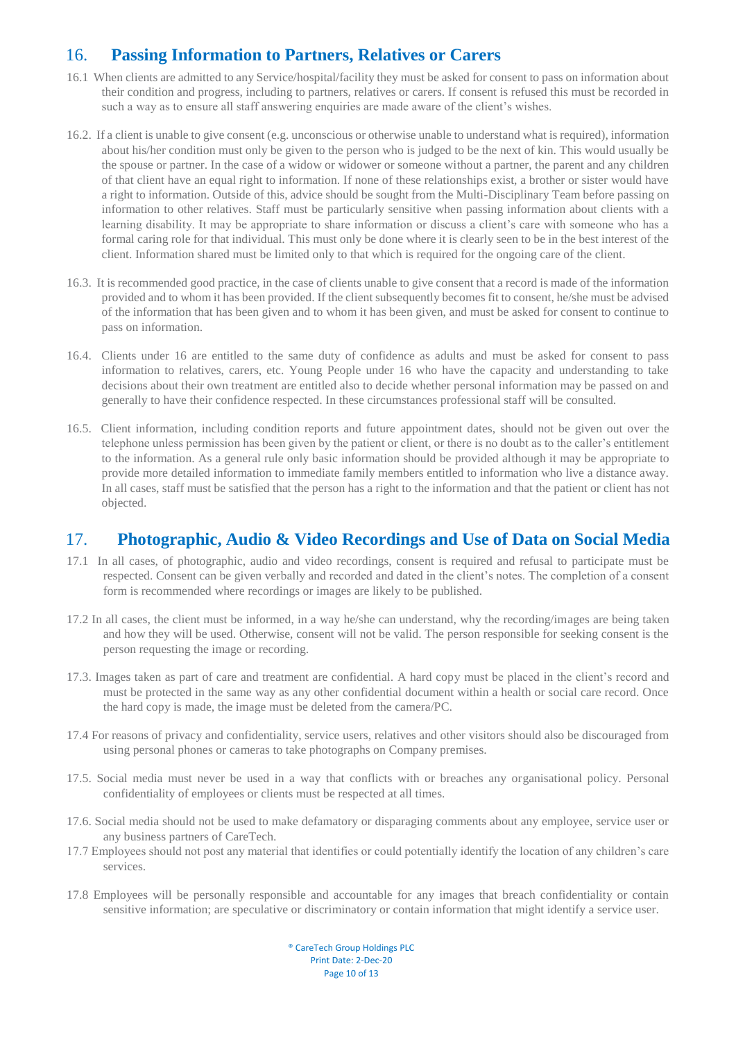## <span id="page-9-0"></span>16. **Passing Information to Partners, Relatives or Carers**

- 16.1 When clients are admitted to any Service/hospital/facility they must be asked for consent to pass on information about their condition and progress, including to partners, relatives or carers. If consent is refused this must be recorded in such a way as to ensure all staff answering enquiries are made aware of the client's wishes.
- 16.2. If a client is unable to give consent (e.g. unconscious or otherwise unable to understand what is required), information about his/her condition must only be given to the person who is judged to be the next of kin. This would usually be the spouse or partner. In the case of a widow or widower or someone without a partner, the parent and any children of that client have an equal right to information. If none of these relationships exist, a brother or sister would have a right to information. Outside of this, advice should be sought from the Multi-Disciplinary Team before passing on information to other relatives. Staff must be particularly sensitive when passing information about clients with a learning disability. It may be appropriate to share information or discuss a client's care with someone who has a formal caring role for that individual. This must only be done where it is clearly seen to be in the best interest of the client. Information shared must be limited only to that which is required for the ongoing care of the client.
- 16.3. It is recommended good practice, in the case of clients unable to give consent that a record is made of the information provided and to whom it has been provided. If the client subsequently becomes fit to consent, he/she must be advised of the information that has been given and to whom it has been given, and must be asked for consent to continue to pass on information.
- 16.4. Clients under 16 are entitled to the same duty of confidence as adults and must be asked for consent to pass information to relatives, carers, etc. Young People under 16 who have the capacity and understanding to take decisions about their own treatment are entitled also to decide whether personal information may be passed on and generally to have their confidence respected. In these circumstances professional staff will be consulted.
- 16.5. Client information, including condition reports and future appointment dates, should not be given out over the telephone unless permission has been given by the patient or client, or there is no doubt as to the caller's entitlement to the information. As a general rule only basic information should be provided although it may be appropriate to provide more detailed information to immediate family members entitled to information who live a distance away. In all cases, staff must be satisfied that the person has a right to the information and that the patient or client has not objected.

#### <span id="page-9-1"></span>17. **Photographic, Audio & Video Recordings and Use of Data on Social Media**

- 17.1 In all cases, of photographic, audio and video recordings, consent is required and refusal to participate must be respected. Consent can be given verbally and recorded and dated in the client's notes. The completion of a consent form is recommended where recordings or images are likely to be published.
- 17.2 In all cases, the client must be informed, in a way he/she can understand, why the recording/images are being taken and how they will be used. Otherwise, consent will not be valid. The person responsible for seeking consent is the person requesting the image or recording.
- 17.3. Images taken as part of care and treatment are confidential. A hard copy must be placed in the client's record and must be protected in the same way as any other confidential document within a health or social care record. Once the hard copy is made, the image must be deleted from the camera/PC.
- 17.4 For reasons of privacy and confidentiality, service users, relatives and other visitors should also be discouraged from using personal phones or cameras to take photographs on Company premises.
- 17.5. Social media must never be used in a way that conflicts with or breaches any organisational policy. Personal confidentiality of employees or clients must be respected at all times.
- 17.6. Social media should not be used to make defamatory or disparaging comments about any employee, service user or any business partners of CareTech.
- 17.7 Employees should not post any material that identifies or could potentially identify the location of any children's care services.
- 17.8 Employees will be personally responsible and accountable for any images that breach confidentiality or contain sensitive information; are speculative or discriminatory or contain information that might identify a service user.

® CareTech Group Holdings PLC Print Date: 2-Dec-20 Page 10 of 13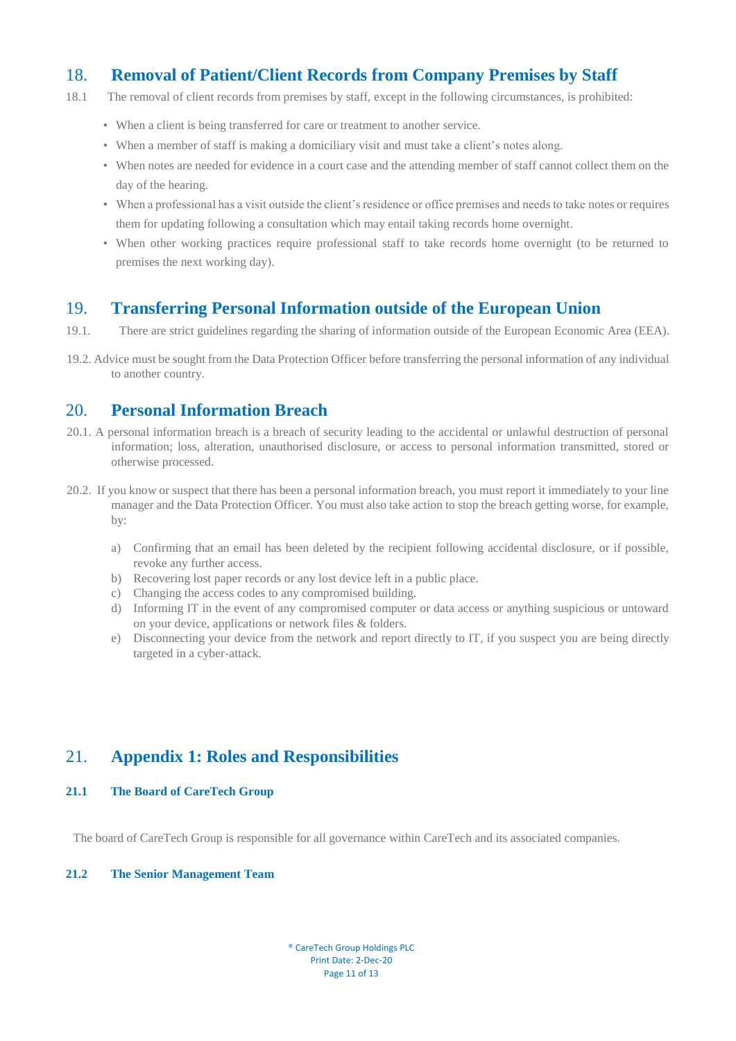## <span id="page-10-0"></span>18. **Removal of Patient/Client Records from Company Premises by Staff**

- 18.1 The removal of client records from premises by staff, except in the following circumstances, is prohibited:
	- When a client is being transferred for care or treatment to another service.
	- When a member of staff is making a domiciliary visit and must take a client's notes along.
	- When notes are needed for evidence in a court case and the attending member of staff cannot collect them on the day of the hearing.
	- When a professional has a visit outside the client's residence or office premises and needs to take notes or requires them for updating following a consultation which may entail taking records home overnight.
	- When other working practices require professional staff to take records home overnight (to be returned to premises the next working day).

#### <span id="page-10-1"></span>19. **Transferring Personal Information outside of the European Union**

- 19.1. There are strict guidelines regarding the sharing of information outside of the European Economic Area (EEA).
- 19.2. Advice must be sought from the Data Protection Officer before transferring the personal information of any individual to another country.

#### <span id="page-10-2"></span>20. **Personal Information Breach**

- 20.1. A personal information breach is a breach of security leading to the accidental or unlawful destruction of personal information; loss, alteration, unauthorised disclosure, or access to personal information transmitted, stored or otherwise processed.
- 20.2. If you know or suspect that there has been a personal information breach, you must report it immediately to your line manager and the Data Protection Officer. You must also take action to stop the breach getting worse, for example, by:
	- a) Confirming that an email has been deleted by the recipient following accidental disclosure, or if possible, revoke any further access.
	- b) Recovering lost paper records or any lost device left in a public place.
	- c) Changing the access codes to any compromised building.
	- d) Informing IT in the event of any compromised computer or data access or anything suspicious or untoward on your device, applications or network files & folders.
	- e) Disconnecting your device from the network and report directly to IT, if you suspect you are being directly targeted in a cyber-attack.

## <span id="page-10-3"></span>21. **Appendix 1: Roles and Responsibilities**

#### **21.1 The Board of CareTech Group**

The board of CareTech Group is responsible for all governance within CareTech and its associated companies.

#### **21.2 The Senior Management Team**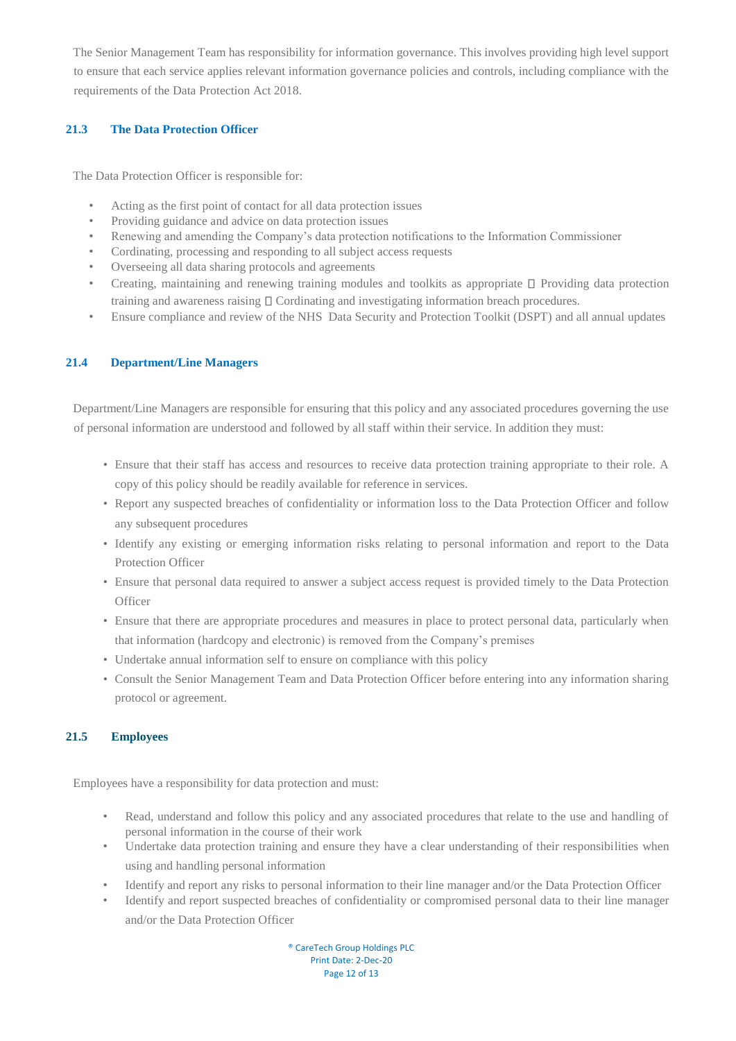The Senior Management Team has responsibility for information governance. This involves providing high level support to ensure that each service applies relevant information governance policies and controls, including compliance with the requirements of the Data Protection Act 2018.

#### **21.3 The Data Protection Officer**

The Data Protection Officer is responsible for:

- Acting as the first point of contact for all data protection issues
- Providing guidance and advice on data protection issues
- Renewing and amending the Company's data protection notifications to the Information Commissioner
- Cordinating, processing and responding to all subject access requests
- Overseeing all data sharing protocols and agreements
- Creating, maintaining and renewing training modules and toolkits as appropriate  $\square$  Providing data protection training and awareness raising  $\square$  Cordinating and investigating information breach procedures.
- Ensure compliance and review of the NHS Data Security and Protection Toolkit (DSPT) and all annual updates

#### **21.4 Department/Line Managers**

Department/Line Managers are responsible for ensuring that this policy and any associated procedures governing the use of personal information are understood and followed by all staff within their service. In addition they must:

- Ensure that their staff has access and resources to receive data protection training appropriate to their role. A copy of this policy should be readily available for reference in services.
- Report any suspected breaches of confidentiality or information loss to the Data Protection Officer and follow any subsequent procedures
- Identify any existing or emerging information risks relating to personal information and report to the Data Protection Officer
- Ensure that personal data required to answer a subject access request is provided timely to the Data Protection **Officer**
- Ensure that there are appropriate procedures and measures in place to protect personal data, particularly when that information (hardcopy and electronic) is removed from the Company's premises
- Undertake annual information self to ensure on compliance with this policy
- Consult the Senior Management Team and Data Protection Officer before entering into any information sharing protocol or agreement.

#### **21.5 Employees**

Employees have a responsibility for data protection and must:

- Read, understand and follow this policy and any associated procedures that relate to the use and handling of personal information in the course of their work
- Undertake data protection training and ensure they have a clear understanding of their responsibilities when using and handling personal information
- Identify and report any risks to personal information to their line manager and/or the Data Protection Officer
- Identify and report suspected breaches of confidentiality or compromised personal data to their line manager and/or the Data Protection Officer

® CareTech Group Holdings PLC Print Date: 2-Dec-20 Page 12 of 13